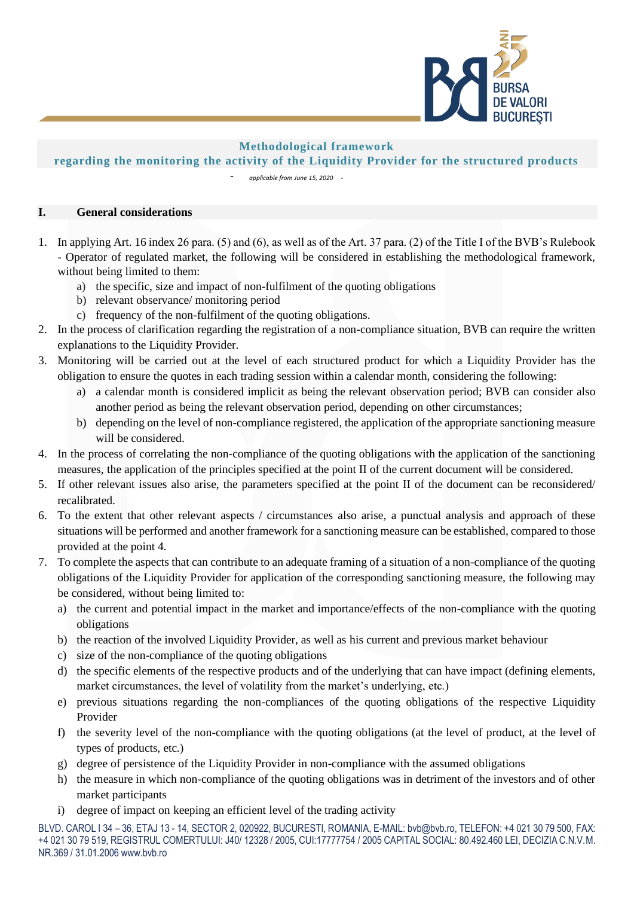

## **Methodological framework**

## **regarding the monitoring the activity of the Liquidity Provider for the structured products**

- *applicable from June 15, 2020 -*

## **I. General considerations**

- 1. In applying Art. 16 index 26 para. (5) and (6), as well as of the Art. 37 para. (2) of the Title I of the BVB's Rulebook - Operator of regulated market, the following will be considered in establishing the methodological framework, without being limited to them:
	- a) the specific, size and impact of non-fulfilment of the quoting obligations
	- b) relevant observance/ monitoring period
	- c) frequency of the non-fulfilment of the quoting obligations.
- 2. In the process of clarification regarding the registration of a non-compliance situation, BVB can require the written explanations to the Liquidity Provider.
- 3. Monitoring will be carried out at the level of each structured product for which a Liquidity Provider has the obligation to ensure the quotes in each trading session within a calendar month, considering the following:
	- a) a calendar month is considered implicit as being the relevant observation period; BVB can consider also another period as being the relevant observation period, depending on other circumstances;
	- b) depending on the level of non-compliance registered, the application of the appropriate sanctioning measure will be considered.
- 4. In the process of correlating the non-compliance of the quoting obligations with the application of the sanctioning measures, the application of the principles specified at the point II of the current document will be considered.
- 5. If other relevant issues also arise, the parameters specified at the point II of the document can be reconsidered/ recalibrated.
- 6. To the extent that other relevant aspects / circumstances also arise, a punctual analysis and approach of these situations will be performed and another framework for a sanctioning measure can be established, compared to those provided at the point 4.
- 7. To complete the aspects that can contribute to an adequate framing of a situation of a non-compliance of the quoting obligations of the Liquidity Provider for application of the corresponding sanctioning measure, the following may be considered, without being limited to:
	- a) the current and potential impact in the market and importance/effects of the non-compliance with the quoting obligations
	- b) the reaction of the involved Liquidity Provider, as well as his current and previous market behaviour
	- c) size of the non-compliance of the quoting obligations
	- d) the specific elements of the respective products and of the underlying that can have impact (defining elements, market circumstances, the level of volatility from the market's underlying, etc.)
	- e) previous situations regarding the non-compliances of the quoting obligations of the respective Liquidity Provider
	- f) the severity level of the non-compliance with the quoting obligations (at the level of product, at the level of types of products, etc.)
	- g) degree of persistence of the Liquidity Provider in non-compliance with the assumed obligations
	- h) the measure in which non-compliance of the quoting obligations was in detriment of the investors and of other market participants
	- i) degree of impact on keeping an efficient level of the trading activity

BLVD. CAROL I 34 – 36, ETAJ 13 - 14, SECTOR 2, 020922, BUCURESTI, ROMANIA, E-MAIL: bvb@bvb.ro, TELEFON: +4 021 30 79 500, FAX: +4 021 30 79 519, REGISTRUL COMERTULUI: J40/ 12328 / 2005, CUI:17777754 / 2005 CAPITAL SOCIAL: 80.492.460 LEI, DECIZIA C.N.V.M. NR.369 / 31.01.2006 www.bvb.ro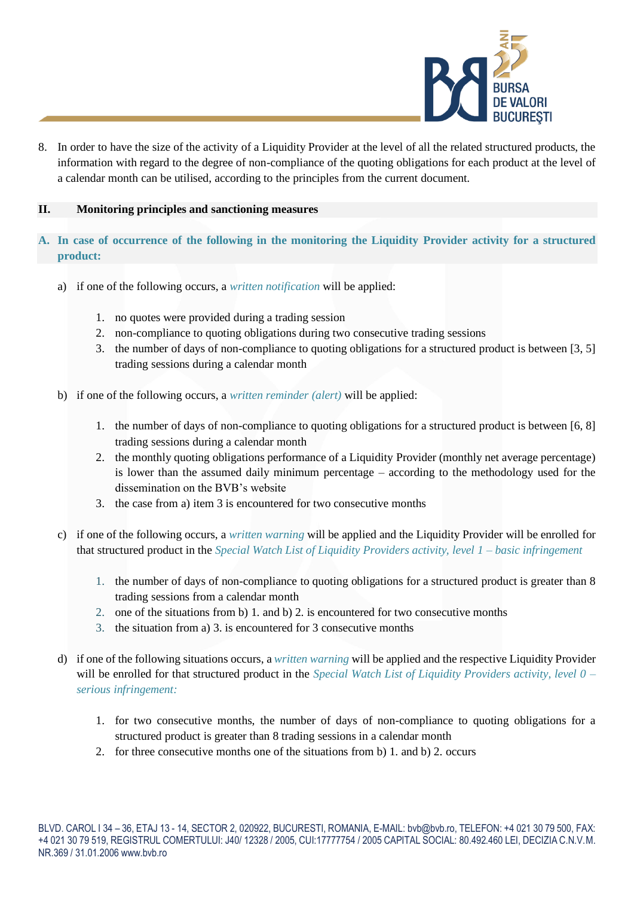

8. In order to have the size of the activity of a Liquidity Provider at the level of all the related structured products, the information with regard to the degree of non-compliance of the quoting obligations for each product at the level of a calendar month can be utilised, according to the principles from the current document.

## **II. Monitoring principles and sanctioning measures**

- **A. In case of occurrence of the following in the monitoring the Liquidity Provider activity for a structured product:**
	- a) if one of the following occurs, a *written notification* will be applied:
		- 1. no quotes were provided during a trading session
		- 2. non-compliance to quoting obligations during two consecutive trading sessions
		- 3. the number of days of non-compliance to quoting obligations for a structured product is between [3, 5] trading sessions during a calendar month
	- b) if one of the following occurs, a *written reminder (alert)* will be applied:
		- 1. the number of days of non-compliance to quoting obligations for a structured product is between [6, 8] trading sessions during a calendar month
		- 2. the monthly quoting obligations performance of a Liquidity Provider (monthly net average percentage) is lower than the assumed daily minimum percentage – according to the methodology used for the dissemination on the BVB's website
		- 3. the case from a) item 3 is encountered for two consecutive months
	- c) if one of the following occurs, a *written warning* will be applied and the Liquidity Provider will be enrolled for that structured product in the *Special Watch List of Liquidity Providers activity, level 1 – basic infringement*
		- 1. the number of days of non-compliance to quoting obligations for a structured product is greater than 8 trading sessions from a calendar month
		- 2. one of the situations from b) 1. and b) 2. is encountered for two consecutive months
		- 3. the situation from a) 3. is encountered for 3 consecutive months
	- d) if one of the following situations occurs, a *written warning* will be applied and the respective Liquidity Provider will be enrolled for that structured product in the *Special Watch List of Liquidity Providers activity, level 0 – serious infringement:*
		- 1. for two consecutive months, the number of days of non-compliance to quoting obligations for a structured product is greater than 8 trading sessions in a calendar month
		- 2. for three consecutive months one of the situations from b) 1. and b) 2. occurs